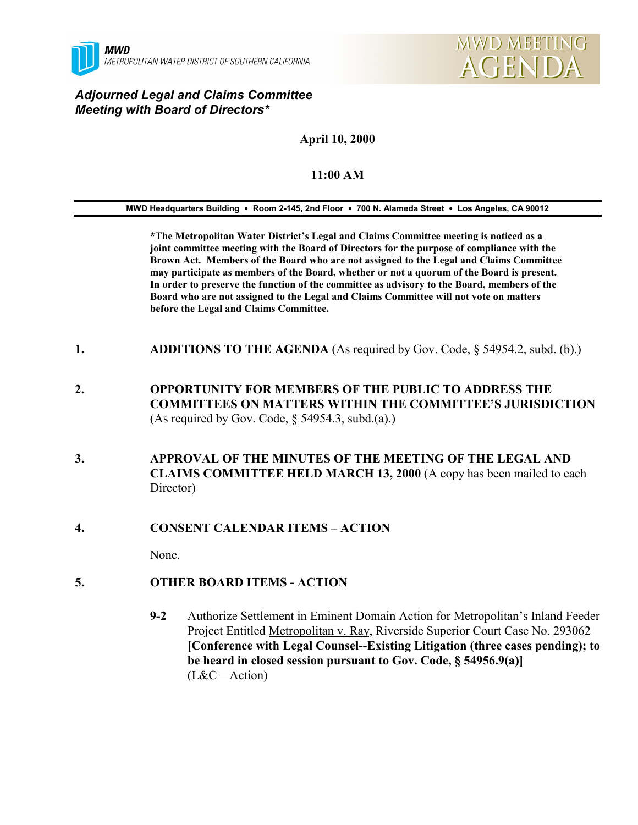



#### *Adjourned Legal and Claims Committee Meeting with Board of Directors\**

## **April 10, 2000**

### **11:00 AM**

**MWD Headquarters Building** ! **Room 2-145, 2nd Floor** ! **700 N. Alameda Street** ! **Los Angeles, CA 90012**

**\*The Metropolitan Water District's Legal and Claims Committee meeting is noticed as a joint committee meeting with the Board of Directors for the purpose of compliance with the Brown Act. Members of the Board who are not assigned to the Legal and Claims Committee may participate as members of the Board, whether or not a quorum of the Board is present. In order to preserve the function of the committee as advisory to the Board, members of the Board who are not assigned to the Legal and Claims Committee will not vote on matters before the Legal and Claims Committee.**

- **1. ADDITIONS TO THE AGENDA** (As required by Gov. Code, § 54954.2, subd. (b).)
- **2. OPPORTUNITY FOR MEMBERS OF THE PUBLIC TO ADDRESS THE COMMITTEES ON MATTERS WITHIN THE COMMITTEE'S JURISDICTION** (As required by Gov. Code, § 54954.3, subd.(a).)
- **3. APPROVAL OF THE MINUTES OF THE MEETING OF THE LEGAL AND CLAIMS COMMITTEE HELD MARCH 13, 2000** (A copy has been mailed to each Director)

#### **4. CONSENT CALENDAR ITEMS – ACTION**

None.

#### **5. OTHER BOARD ITEMS - ACTION**

**9-2** Authorize Settlement in Eminent Domain Action for Metropolitan's Inland Feeder Project Entitled Metropolitan v. Ray, Riverside Superior Court Case No. 293062 **[Conference with Legal Counsel--Existing Litigation (three cases pending); to be heard in closed session pursuant to Gov. Code, § 54956.9(a)]** (L&C—Action)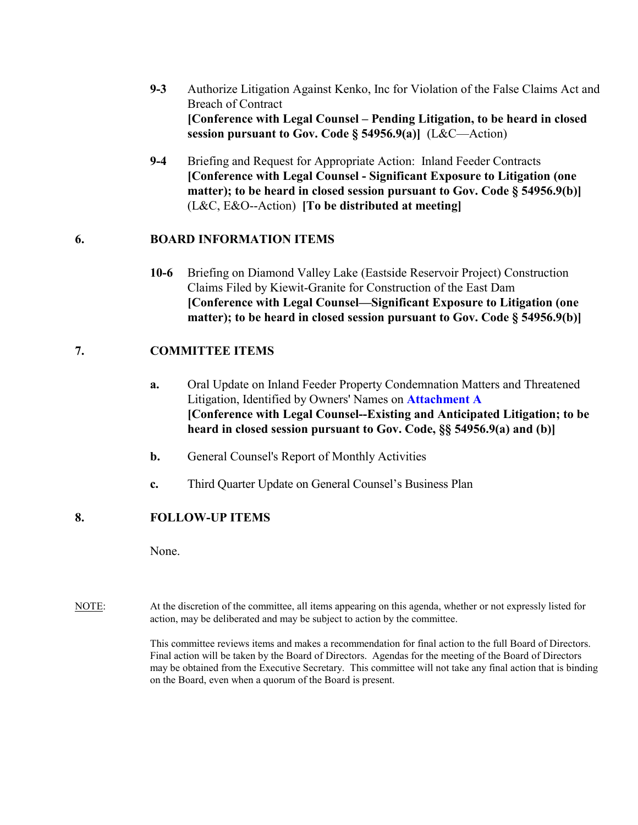- **9-3** Authorize Litigation Against Kenko, Inc for Violation of the False Claims Act and Breach of Contract **[Conference with Legal Counsel – Pending Litigation, to be heard in closed session pursuant to Gov. Code § 54956.9(a)]** (L&C—Action)
- **9-4** Briefing and Request for Appropriate Action: Inland Feeder Contracts **[Conference with Legal Counsel - Significant Exposure to Litigation (one matter); to be heard in closed session pursuant to Gov. Code § 54956.9(b)]** (L&C, E&O--Action) **[To be distributed at meeting]**

#### **6. BOARD INFORMATION ITEMS**

**10-6** Briefing on Diamond Valley Lake (Eastside Reservoir Project) Construction Claims Filed by Kiewit-Granite for Construction of the East Dam **[Conference with Legal Counsel—Significant Exposure to Litigation (one matter); to be heard in closed session pursuant to Gov. Code § 54956.9(b)]**

### **7. COMMITTEE ITEMS**

- **a.** Oral Update on Inland Feeder Property Condemnation Matters and Threatened Litigation, Identified by Owners' Names on **Attachment A [Conference with Legal Counsel--Existing and Anticipated Litigation; to be heard in closed session pursuant to Gov. Code, §§ 54956.9(a) and (b)]**
- **b.** General Counsel's Report of Monthly Activities
- **c.** Third Quarter Update on General Counsel's Business Plan

### **8. FOLLOW-UP ITEMS**

None.

NOTE: At the discretion of the committee, all items appearing on this agenda, whether or not expressly listed for action, may be deliberated and may be subject to action by the committee.

> This committee reviews items and makes a recommendation for final action to the full Board of Directors. Final action will be taken by the Board of Directors. Agendas for the meeting of the Board of Directors may be obtained from the Executive Secretary. This committee will not take any final action that is binding on the Board, even when a quorum of the Board is present.